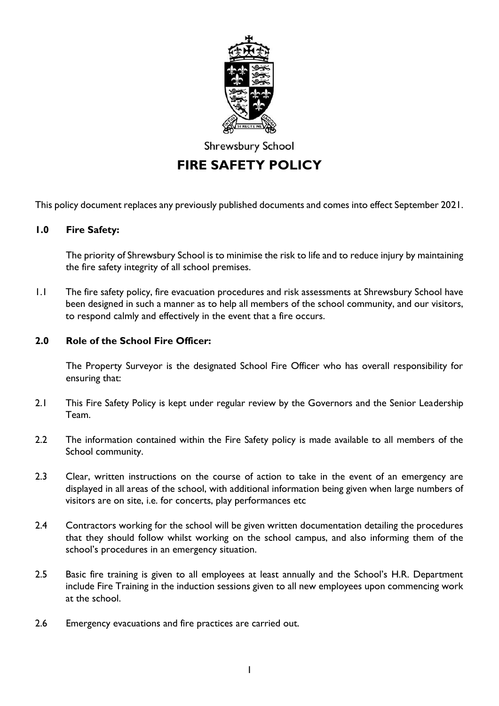

Shrewsbury School

# **FIRE SAFETY POLICY**

This policy document replaces any previously published documents and comes into effect September 2021.

#### **1.0 Fire Safety:**

The priority of Shrewsbury School is to minimise the risk to life and to reduce injury by maintaining the fire safety integrity of all school premises.

1.1 The fire safety policy, fire evacuation procedures and risk assessments at Shrewsbury School have been designed in such a manner as to help all members of the school community, and our visitors, to respond calmly and effectively in the event that a fire occurs.

#### **2.0 Role of the School Fire Officer:**

The Property Surveyor is the designated School Fire Officer who has overall responsibility for ensuring that:

- 2.1 This Fire Safety Policy is kept under regular review by the Governors and the Senior Leadership Team.
- 2.2 The information contained within the Fire Safety policy is made available to all members of the School community.
- 2.3 Clear, written instructions on the course of action to take in the event of an emergency are displayed in all areas of the school, with additional information being given when large numbers of visitors are on site, i.e. for concerts, play performances etc
- 2.4 Contractors working for the school will be given written documentation detailing the procedures that they should follow whilst working on the school campus, and also informing them of the school's procedures in an emergency situation.
- 2.5 Basic fire training is given to all employees at least annually and the School's H.R. Department include Fire Training in the induction sessions given to all new employees upon commencing work at the school.
- 2.6 Emergency evacuations and fire practices are carried out.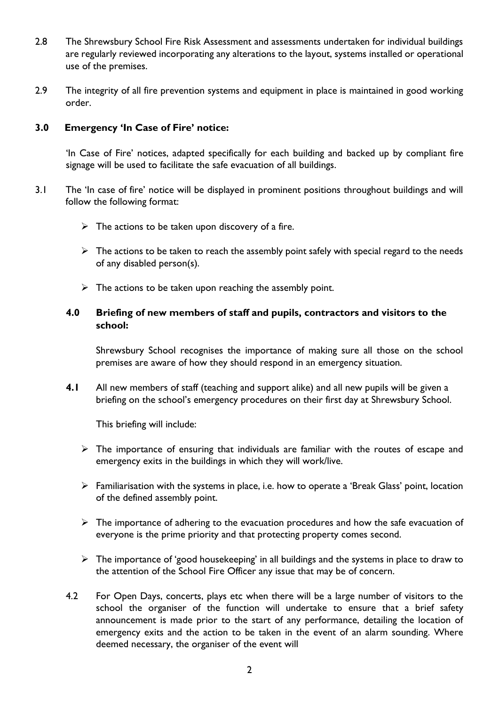- 2.8 The Shrewsbury School Fire Risk Assessment and assessments undertaken for individual buildings are regularly reviewed incorporating any alterations to the layout, systems installed or operational use of the premises.
- 2.9 The integrity of all fire prevention systems and equipment in place is maintained in good working order.

# **3.0 Emergency 'In Case of Fire' notice:**

'In Case of Fire' notices, adapted specifically for each building and backed up by compliant fire signage will be used to facilitate the safe evacuation of all buildings.

- 3.1 The 'In case of fire' notice will be displayed in prominent positions throughout buildings and will follow the following format:
	- $\triangleright$  The actions to be taken upon discovery of a fire.
	- $\triangleright$  The actions to be taken to reach the assembly point safely with special regard to the needs of any disabled person(s).
	- $\triangleright$  The actions to be taken upon reaching the assembly point.

# **4.0 Briefing of new members of staff and pupils, contractors and visitors to the school:**

Shrewsbury School recognises the importance of making sure all those on the school premises are aware of how they should respond in an emergency situation.

**4.1** All new members of staff (teaching and support alike) and all new pupils will be given a briefing on the school's emergency procedures on their first day at Shrewsbury School.

This briefing will include:

- ➢ The importance of ensuring that individuals are familiar with the routes of escape and emergency exits in the buildings in which they will work/live.
- ➢ Familiarisation with the systems in place, i.e. how to operate a 'Break Glass' point, location of the defined assembly point.
- $\triangleright$  The importance of adhering to the evacuation procedures and how the safe evacuation of everyone is the prime priority and that protecting property comes second.
- $\triangleright$  The importance of 'good housekeeping' in all buildings and the systems in place to draw to the attention of the School Fire Officer any issue that may be of concern.
- 4.2 For Open Days, concerts, plays etc when there will be a large number of visitors to the school the organiser of the function will undertake to ensure that a brief safety announcement is made prior to the start of any performance, detailing the location of emergency exits and the action to be taken in the event of an alarm sounding. Where deemed necessary, the organiser of the event will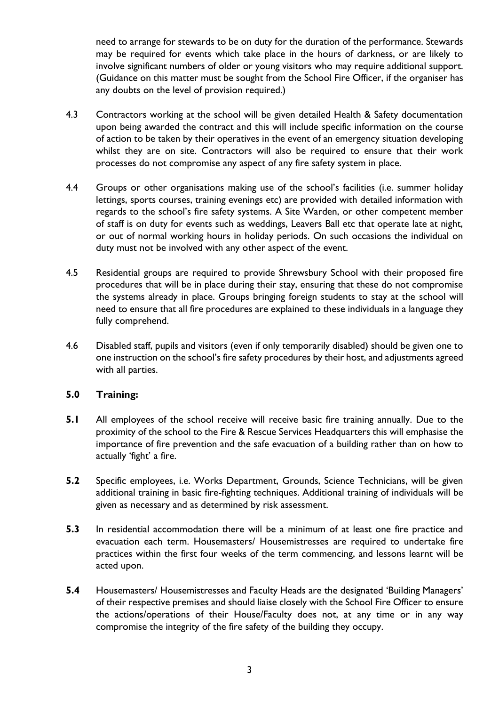need to arrange for stewards to be on duty for the duration of the performance. Stewards may be required for events which take place in the hours of darkness, or are likely to involve significant numbers of older or young visitors who may require additional support. (Guidance on this matter must be sought from the School Fire Officer, if the organiser has any doubts on the level of provision required.)

- 4.3 Contractors working at the school will be given detailed Health & Safety documentation upon being awarded the contract and this will include specific information on the course of action to be taken by their operatives in the event of an emergency situation developing whilst they are on site. Contractors will also be required to ensure that their work processes do not compromise any aspect of any fire safety system in place.
- 4.4 Groups or other organisations making use of the school's facilities (i.e. summer holiday lettings, sports courses, training evenings etc) are provided with detailed information with regards to the school's fire safety systems. A Site Warden, or other competent member of staff is on duty for events such as weddings, Leavers Ball etc that operate late at night, or out of normal working hours in holiday periods. On such occasions the individual on duty must not be involved with any other aspect of the event.
- 4.5 Residential groups are required to provide Shrewsbury School with their proposed fire procedures that will be in place during their stay, ensuring that these do not compromise the systems already in place. Groups bringing foreign students to stay at the school will need to ensure that all fire procedures are explained to these individuals in a language they fully comprehend.
- 4.6 Disabled staff, pupils and visitors (even if only temporarily disabled) should be given one to one instruction on the school's fire safety procedures by their host, and adjustments agreed with all parties.

#### **5.0 Training:**

- **5.1** All employees of the school receive will receive basic fire training annually. Due to the proximity of the school to the Fire & Rescue Services Headquarters this will emphasise the importance of fire prevention and the safe evacuation of a building rather than on how to actually 'fight' a fire.
- **5.2** Specific employees, i.e. Works Department, Grounds, Science Technicians, will be given additional training in basic fire-fighting techniques. Additional training of individuals will be given as necessary and as determined by risk assessment.
- **5.3** In residential accommodation there will be a minimum of at least one fire practice and evacuation each term. Housemasters/ Housemistresses are required to undertake fire practices within the first four weeks of the term commencing, and lessons learnt will be acted upon.
- **5.4** Housemasters/ Housemistresses and Faculty Heads are the designated 'Building Managers' of their respective premises and should liaise closely with the School Fire Officer to ensure the actions/operations of their House/Faculty does not, at any time or in any way compromise the integrity of the fire safety of the building they occupy.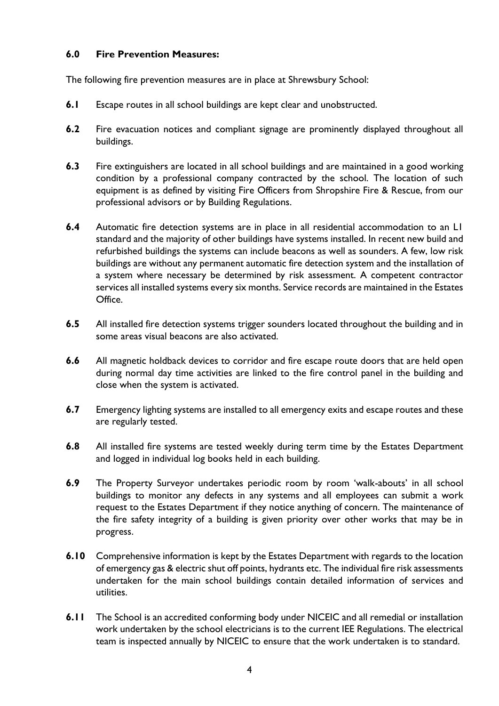# **6.0 Fire Prevention Measures:**

The following fire prevention measures are in place at Shrewsbury School:

- **6.1** Escape routes in all school buildings are kept clear and unobstructed.
- **6.2** Fire evacuation notices and compliant signage are prominently displayed throughout all buildings.
- **6.3** Fire extinguishers are located in all school buildings and are maintained in a good working condition by a professional company contracted by the school. The location of such equipment is as defined by visiting Fire Officers from Shropshire Fire & Rescue, from our professional advisors or by Building Regulations.
- **6.4** Automatic fire detection systems are in place in all residential accommodation to an L1 standard and the majority of other buildings have systems installed. In recent new build and refurbished buildings the systems can include beacons as well as sounders. A few, low risk buildings are without any permanent automatic fire detection system and the installation of a system where necessary be determined by risk assessment. A competent contractor services all installed systems every six months. Service records are maintained in the Estates Office.
- **6.5** All installed fire detection systems trigger sounders located throughout the building and in some areas visual beacons are also activated.
- **6.6** All magnetic holdback devices to corridor and fire escape route doors that are held open during normal day time activities are linked to the fire control panel in the building and close when the system is activated.
- **6.7** Emergency lighting systems are installed to all emergency exits and escape routes and these are regularly tested.
- **6.8** All installed fire systems are tested weekly during term time by the Estates Department and logged in individual log books held in each building.
- **6.9** The Property Surveyor undertakes periodic room by room 'walk-abouts' in all school buildings to monitor any defects in any systems and all employees can submit a work request to the Estates Department if they notice anything of concern. The maintenance of the fire safety integrity of a building is given priority over other works that may be in progress.
- **6.10** Comprehensive information is kept by the Estates Department with regards to the location of emergency gas & electric shut off points, hydrants etc. The individual fire risk assessments undertaken for the main school buildings contain detailed information of services and utilities.
- **6.11** The School is an accredited conforming body under NICEIC and all remedial or installation work undertaken by the school electricians is to the current IEE Regulations. The electrical team is inspected annually by NICEIC to ensure that the work undertaken is to standard.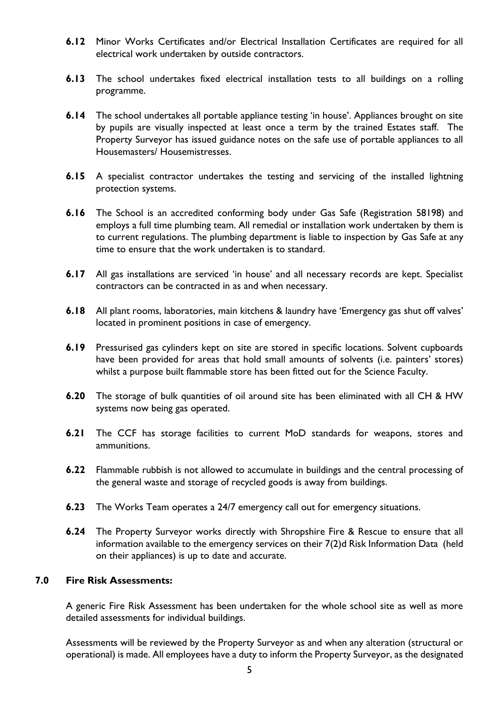- **6.12** Minor Works Certificates and/or Electrical Installation Certificates are required for all electrical work undertaken by outside contractors.
- **6.13** The school undertakes fixed electrical installation tests to all buildings on a rolling programme.
- **6.14** The school undertakes all portable appliance testing 'in house'. Appliances brought on site by pupils are visually inspected at least once a term by the trained Estates staff. The Property Surveyor has issued guidance notes on the safe use of portable appliances to all Housemasters/ Housemistresses.
- **6.15** A specialist contractor undertakes the testing and servicing of the installed lightning protection systems.
- **6.16** The School is an accredited conforming body under Gas Safe (Registration 58198) and employs a full time plumbing team. All remedial or installation work undertaken by them is to current regulations. The plumbing department is liable to inspection by Gas Safe at any time to ensure that the work undertaken is to standard.
- **6.17** All gas installations are serviced 'in house' and all necessary records are kept. Specialist contractors can be contracted in as and when necessary.
- **6.18** All plant rooms, laboratories, main kitchens & laundry have 'Emergency gas shut off valves' located in prominent positions in case of emergency.
- **6.19** Pressurised gas cylinders kept on site are stored in specific locations. Solvent cupboards have been provided for areas that hold small amounts of solvents (i.e. painters' stores) whilst a purpose built flammable store has been fitted out for the Science Faculty.
- **6.20** The storage of bulk quantities of oil around site has been eliminated with all CH & HW systems now being gas operated.
- **6.21** The CCF has storage facilities to current MoD standards for weapons, stores and ammunitions.
- **6.22** Flammable rubbish is not allowed to accumulate in buildings and the central processing of the general waste and storage of recycled goods is away from buildings.
- **6.23** The Works Team operates a 24/7 emergency call out for emergency situations.
- **6.24** The Property Surveyor works directly with Shropshire Fire & Rescue to ensure that all information available to the emergency services on their 7(2)d Risk Information Data (held on their appliances) is up to date and accurate.

#### **7.0 Fire Risk Assessments:**

A generic Fire Risk Assessment has been undertaken for the whole school site as well as more detailed assessments for individual buildings.

Assessments will be reviewed by the Property Surveyor as and when any alteration (structural or operational) is made. All employees have a duty to inform the Property Surveyor, as the designated